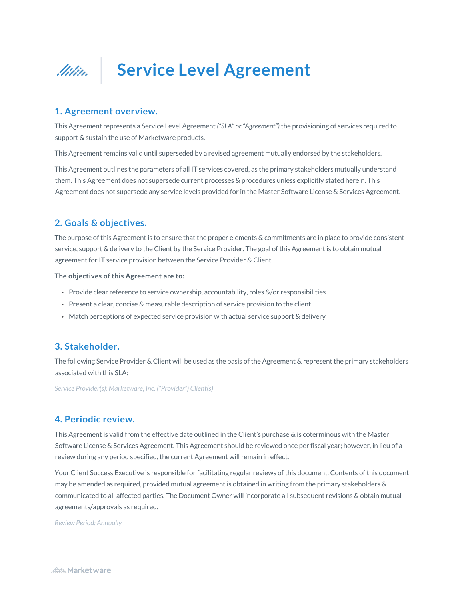

## **1. Agreement overview.**

This Agreement represents a Service Level Agreement *("SLA" or "Agreement")* the provisioning of services required to support & sustain the use of Marketware products.

This Agreement remains valid until superseded by a revised agreement mutually endorsed by the stakeholders.

This Agreement outlines the parameters of all IT services covered, as the primary stakeholders mutually understand them. This Agreement does not supersede current processes & procedures unless explicitly stated herein. This Agreement does not supersede any service levels provided for in the Master Software License & Services Agreement.

# **2. Goals & objectives.**

The purpose of this Agreement is to ensure that the proper elements & commitments are in place to provide consistent service, support & delivery to the Client by the Service Provider. The goal of this Agreement is to obtain mutual agreement for IT service provision between the Service Provider & Client.

**The objectives of this Agreement are to:** 

- Provide clear reference to service ownership, accountability, roles &/or responsibilities
- Present a clear, concise & measurable description of service provision to the client
- Match perceptions of expected service provision with actual service support & delivery

## **3. Stakeholder.**

The following Service Provider & Client will be used as the basis of the Agreement & represent the primary stakeholders associated with this SLA:

*Service Provider(s): Marketware, Inc. ("Provider") Client(s)* 

## **4. Periodic review.**

This Agreement is valid from the effective date outlined in the Client's purchase & is coterminous with the Master Software License & Services Agreement. This Agreement should be reviewed once per fiscal year; however, in lieu of a review during any period specified, the current Agreement will remain in effect.

Your Client Success Executive is responsible for facilitating regular reviews of this document. Contents of this document may be amended as required, provided mutual agreement is obtained in writing from the primary stakeholders & communicated to all affected parties. The Document Owner will incorporate all subsequent revisions & obtain mutual agreements/approvals as required.

*Review Period: Annually*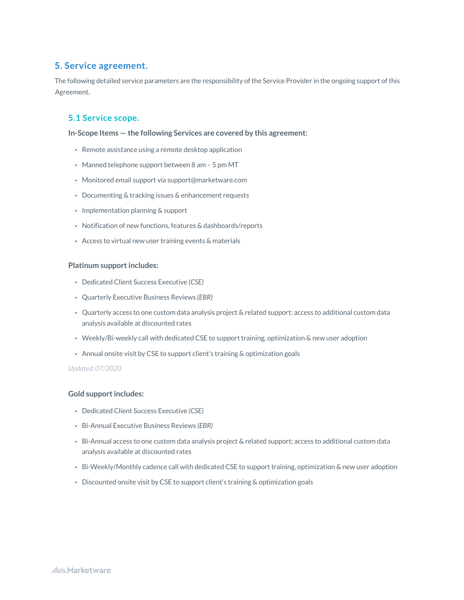## **5. Service agreement.**

The following detailed service parameters are the responsibility of the Service Provider in the ongoing support of this Agreement.

## **5.1 Service scope.**

**In-Scope Items — the following Services are covered by this agreement:** 

- Remote assistance using a remote desktop application
- Manned telephone support between 8 am 5 pm MT
- Monitored email support via support@marketware.com
- Documenting & tracking issues & enhancement requests
- Implementation planning & support
- Notification of new functions, features & dashboards/reports
- Access to virtual new user training events & materials

#### **Platinum support includes:**

- Dedicated Client Success Executive *(CSE)*
- Quarterly Executive Business Reviews *(EBR)*
- Quarterly access to one custom data analysis project & related support; access to additional custom data analysis available at discounted rates
- Weekly/Bi-weekly call with dedicated CSE to support training, optimization & new user adoption
- Annual onsite visit by CSE to support client's training & optimization goals

#### *Updated: 07/2020*

### **Gold support includes:**

- Dedicated Client Success Executive *(CSE)*
- Bi-Annual Executive Business Reviews *(EBR)*
- Bi-Annual access to one custom data analysis project & related support; access to additional custom data analysis available at discounted rates
- Bi-Weekly/Monthly cadence call with dedicated CSE to support training, optimization & new user adoption
- Discounted onsite visit by CSE to support client's training & optimization goals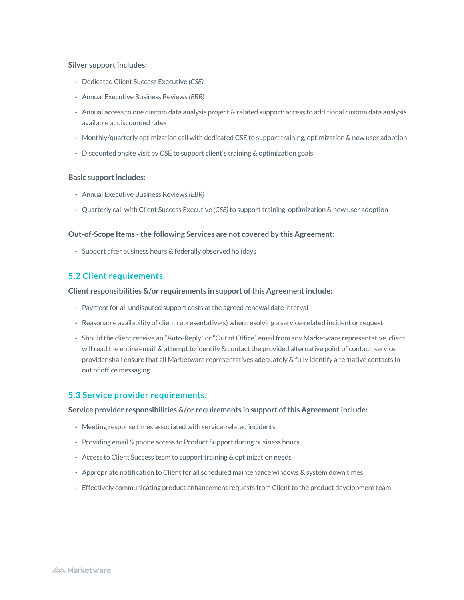#### **Silver support includes:**

- Dedicated Client Success Executive *(CSE)*
- Annual Executive Business Reviews *(EBR)*
- Annual access to one custom data analysis project & related support; access to additional custom data analysis available at discounted rates
- Monthly/quarterly optimization call with dedicated CSE to support training, optimization & new user adoption
- Discounted onsite visit by CSE to support client's training & optimization goals

#### **Basic support includes:**

- Annual Executive Business Reviews *(EBR)*
- Quarterly call with Client Success Executive *(CSE)* to support training, optimization & new user adoption

#### **Out-of-Scope Items - the following Services are not covered by this Agreement:**

• Support after business hours & federally observed holidays

## **5.2 Client requirements.**

#### **Client responsibilities &/or requirements in support of this Agreement include:**

- Payment for all undisputed support costs at the agreed renewal date interval
- Reasonable availability of client representative(s) when resolving a service-related incident or request
- Should the client receive an "Auto-Reply" or "Out of Office" email from any Marketware representative, client will read the entire email, & attempt to identify & contact the provided alternative point of contact; service provider shall ensure that all Marketware representatives adequately & fully identify alternative contacts in out of office messaging

### **5.3 Service provider requirements.**

**Service provider responsibilities &/or requirements in support of this Agreement include:** 

- Meeting response times associated with service-related incidents
- Providing email & phone access to Product Support during business hours
- Access to Client Success team to support training & optimization needs
- Appropriate notification to Client for all scheduled maintenance windows & system down times
- Effectively communicating product enhancement requests from Client to the product development team